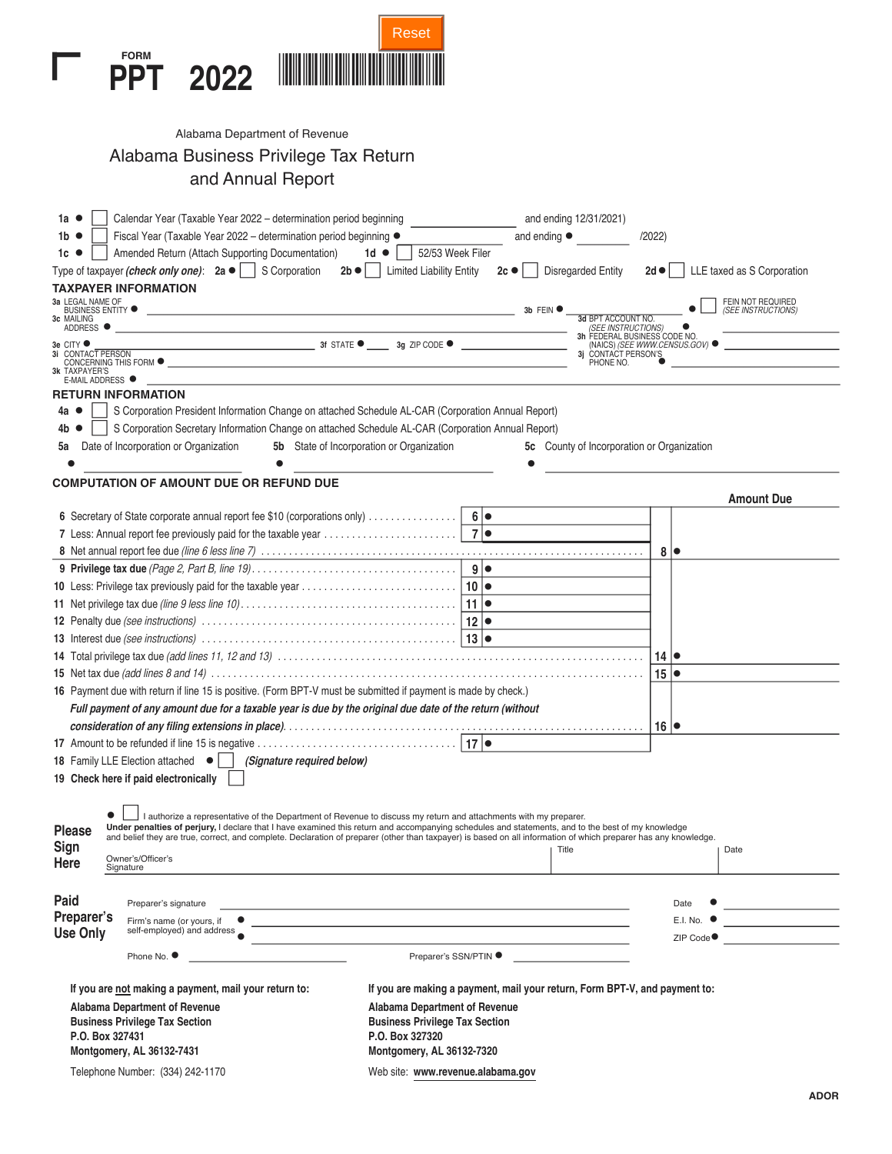

| Alabama Department of Revenue         |
|---------------------------------------|
| Alabama Business Privilege Tax Return |
| and Annual Report                     |

| Calendar Year (Taxable Year 2022 – determination period beginning<br>1а Ф                                                                                                                                                                                                                                                             | and ending 12/31/2021)                                                                                     |  |
|---------------------------------------------------------------------------------------------------------------------------------------------------------------------------------------------------------------------------------------------------------------------------------------------------------------------------------------|------------------------------------------------------------------------------------------------------------|--|
| Fiscal Year (Taxable Year 2022 – determination period beginning ●<br>1b <b>e</b>                                                                                                                                                                                                                                                      | and ending $\bullet$<br>/2022                                                                              |  |
| Amended Return (Attach Supporting Documentation)<br>1 $d$ $\bullet$<br>1с ●                                                                                                                                                                                                                                                           | 52/53 Week Filer                                                                                           |  |
| Type of taxpayer (check only one): $2a \bullet \Box$ S Corporation<br><b>Limited Liability Entity</b><br>$2b \bullet 1$                                                                                                                                                                                                               | <b>Disregarded Entity</b><br>LLE taxed as S Corporation<br>$2c \bullet$<br>$2d \bullet$                    |  |
| <b>TAXPAYER INFORMATION</b>                                                                                                                                                                                                                                                                                                           |                                                                                                            |  |
| 3a LEGAL NAME OF<br>BUSINESS ENTITY <sup>O</sup><br><u> 1989 - Andrea Station Barbara, amerikan personal (h. 1989).</u><br>3c MAILING<br>ADDRESS <sup>O</sup>                                                                                                                                                                         | FEIN NOT REQUIRED<br>3b FEIN <sup>®</sup><br>(SEE INSTRUCTIONS)<br>3d BPT ACCOUNT NO<br>(SEE INSTRUCTIONS) |  |
| 3e CITY ●                                                                                                                                                                                                                                                                                                                             | 3h FEDERAL BUSINESS CODE NO.<br>(NAICS) (SEE WWW.CENSUS.GOV) ●                                             |  |
| 3i CONTACT PERSON<br>CONCERNING THIS FORM $\bullet$<br><b>3k TAXPAYER'S</b>                                                                                                                                                                                                                                                           | 3j CONTACT PERSON'S<br>PHONE NO.                                                                           |  |
| E-MAIL ADDRESS ●<br><b>RETURN INFORMATION</b>                                                                                                                                                                                                                                                                                         |                                                                                                            |  |
| S Corporation President Information Change on attached Schedule AL-CAR (Corporation Annual Report)<br>4а О                                                                                                                                                                                                                            |                                                                                                            |  |
| S Corporation Secretary Information Change on attached Schedule AL-CAR (Corporation Annual Report)<br>4b.                                                                                                                                                                                                                             |                                                                                                            |  |
| Date of Incorporation or Organization<br><b>5b</b> State of Incorporation or Organization<br>5а                                                                                                                                                                                                                                       | 5c County of Incorporation or Organization                                                                 |  |
|                                                                                                                                                                                                                                                                                                                                       |                                                                                                            |  |
|                                                                                                                                                                                                                                                                                                                                       |                                                                                                            |  |
| <b>COMPUTATION OF AMOUNT DUE OR REFUND DUE</b>                                                                                                                                                                                                                                                                                        | <b>Amount Due</b>                                                                                          |  |
|                                                                                                                                                                                                                                                                                                                                       | 6 •                                                                                                        |  |
|                                                                                                                                                                                                                                                                                                                                       |                                                                                                            |  |
|                                                                                                                                                                                                                                                                                                                                       | $8   \bullet$                                                                                              |  |
|                                                                                                                                                                                                                                                                                                                                       |                                                                                                            |  |
|                                                                                                                                                                                                                                                                                                                                       |                                                                                                            |  |
|                                                                                                                                                                                                                                                                                                                                       |                                                                                                            |  |
|                                                                                                                                                                                                                                                                                                                                       |                                                                                                            |  |
|                                                                                                                                                                                                                                                                                                                                       |                                                                                                            |  |
|                                                                                                                                                                                                                                                                                                                                       | $14$ $\bullet$                                                                                             |  |
|                                                                                                                                                                                                                                                                                                                                       | $15 \mid \bullet$                                                                                          |  |
| 16 Payment due with return if line 15 is positive. (Form BPT-V must be submitted if payment is made by check.)                                                                                                                                                                                                                        |                                                                                                            |  |
| Full payment of any amount due for a taxable year is due by the original due date of the return (without                                                                                                                                                                                                                              |                                                                                                            |  |
|                                                                                                                                                                                                                                                                                                                                       | $16 \mid \bullet$                                                                                          |  |
|                                                                                                                                                                                                                                                                                                                                       |                                                                                                            |  |
| <b>18</b> Family LLE Election attached $\bullet$    <br>(Signature required below)                                                                                                                                                                                                                                                    |                                                                                                            |  |
| 19 Check here if paid electronically                                                                                                                                                                                                                                                                                                  |                                                                                                            |  |
|                                                                                                                                                                                                                                                                                                                                       |                                                                                                            |  |
| I authorize a representative of the Department of Revenue to discuss my return and attachments with my preparer.                                                                                                                                                                                                                      |                                                                                                            |  |
| Under penalties of perjury, I declare that I have examined this return and accompanying schedules and statements, and to the best of my knowledge<br><b>Please</b><br>and belief they are true, correct, and complete. Declaration of preparer (other than taxpayer) is based on all information of which preparer has any knowledge. |                                                                                                            |  |
| Sign                                                                                                                                                                                                                                                                                                                                  | Title<br>Date                                                                                              |  |
| Owner's/Officer's<br>Here<br>Signature                                                                                                                                                                                                                                                                                                |                                                                                                            |  |
|                                                                                                                                                                                                                                                                                                                                       |                                                                                                            |  |
| Paid<br>Preparer's signature<br>the control of the control of the control of the control of the control of the control of the control of the control of the control of the control of the control of the control of the control of the control of the control                                                                         | Date                                                                                                       |  |
| Preparer's                                                                                                                                                                                                                                                                                                                            | E.I. No.                                                                                                   |  |
| self-employed) and address<br><b>Use Only</b>                                                                                                                                                                                                                                                                                         | ZIP Code●                                                                                                  |  |
| Phone No. ●                                                                                                                                                                                                                                                                                                                           | Preparer's SSN/PTIN ●                                                                                      |  |
|                                                                                                                                                                                                                                                                                                                                       |                                                                                                            |  |
| If you are not making a payment, mail your return to:                                                                                                                                                                                                                                                                                 | If you are making a payment, mail your return, Form BPT-V, and payment to:                                 |  |
| Alabama Department of Revenue<br>Alabama Department of Revenue<br><b>Business Privilege Tax Section</b><br><b>Business Privilege Tax Section</b>                                                                                                                                                                                      |                                                                                                            |  |
| P.O. Box 327431<br>P.O. Box 327320                                                                                                                                                                                                                                                                                                    |                                                                                                            |  |
| Montgomery, AL 36132-7431<br>Montgomery, AL 36132-7320                                                                                                                                                                                                                                                                                |                                                                                                            |  |
| Telephone Number: (334) 242-1170                                                                                                                                                                                                                                                                                                      | Web site: www.revenue.alabama.gov                                                                          |  |